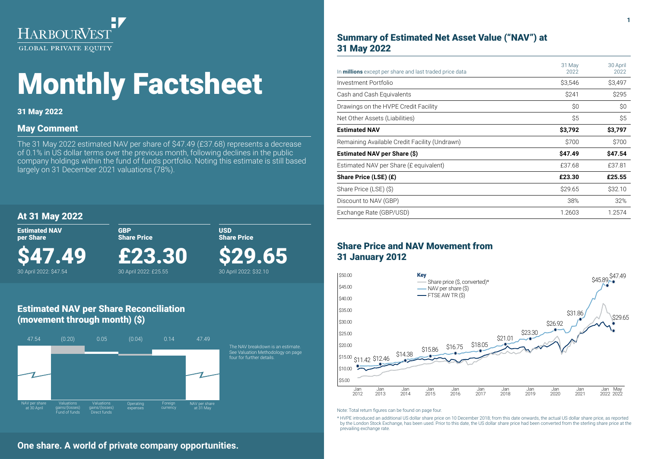

# Monthly Factsheet

## 31 May 2022

## May Comment

The 31 May 2022 estimated NAV per share of \$47.49 (£37.68) represents a decrease of 0.1% in US dollar terms over the previous month, following declines in the public company holdings within the fund of funds portfolio. Noting this estimate is still based largely on 31 December 2021 valuations (78%).

## At 31 May 2022

Estimated NAV per Share

30 April 2022: \$47.54

\$47.49

£23.30

GBP Share Price

30 April 2022: £25.55

USD Share Price

\$29.65

30 April 2022: \$32.10

## Estimated NAV per Share Reconciliation (movement through month) (\$)



## Summary of Estimated Net Asset Value ("NAV") at 31 May 2022

| In <b>millions</b> except per share and last traded price data | 31 May<br>2022 | 30 April<br>2022 |
|----------------------------------------------------------------|----------------|------------------|
| Investment Portfolio                                           | \$3,546        | \$3,497          |
| Cash and Cash Equivalents                                      | \$241          | \$295            |
| Drawings on the HVPE Credit Facility                           | \$0            | \$0              |
| Net Other Assets (Liabilities)                                 | \$5            | \$5              |
| <b>Estimated NAV</b>                                           | \$3,792        | \$3,797          |
| Remaining Available Credit Facility (Undrawn)                  | \$700          | \$700            |
| Estimated NAV per Share (\$)                                   | \$47.49        | \$47.54          |
| Estimated NAV per Share (£ equivalent)                         | £37.68         | £37.81           |
| Share Price (LSE) (£)                                          | £23.30         | £25.55           |
| Share Price (LSE) (\$)                                         | \$29.65        | \$32.10          |
| Discount to NAV (GBP)                                          | 38%            | 32%              |
| Exchange Rate (GBP/USD)                                        | 1.2603         | 1.2574           |

## Share Price and NAV Movement from 31 January 2012



Note: Total return figures can be found on page four.

\* HVPE introduced an additional US dollar share price on 10 December 2018; from this date onwards, the actual US dollar share price, as reported by the London Stock Exchange, has been used. Prior to this date, the US dollar share price had been converted from the sterling share price at the prevailing exchange rate.

## **One share. A world of private company opportunities.**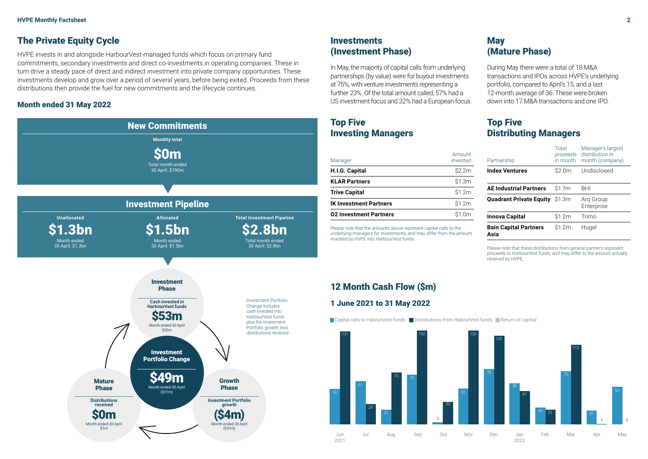## The Private Equity Cycle

HVPE invests in and alongside HarbourVest-managed funds which focus on primary fund commitments, secondary investments and direct co-investments in operating companies. These in turn drive a steady pace of direct and indirect investment into private company opportunities. These investments develop and grow over a period of several years, before being exited. Proceeds from these distributions then provide the fuel for new commitments and the lifecycle continues.

## Month ended 31 May 2022



## **Investments** (Investment Phase)

In May, the majority of capital calls from underlying partnerships (by value) were for buyout investments at 75%, with venture investments representing a further 23%. Of the total amount called, 57% had a US investment focus and 32% had a European focus.

## Top Five Investing Managers

| Manager                       | Amount<br>invested |
|-------------------------------|--------------------|
| H.I.G. Capital                | \$2.2m             |
| <b>KLAR Partners</b>          | \$1.3m             |
| <b>Trive Capital</b>          | \$1.2m             |
| <b>IK Investment Partners</b> | \$1.2m             |
| <b>02 Investment Partners</b> | $$1 \, 0m$         |

Please note that the amounts above represent capital calls to the underlying managers for investments, and may differ from the amount invested by HVPE into HarbourVest funds.

## **May** (Mature Phase)

During May there were a total of 18 M&A transactions and IPOs across HVPE's underlying portfolio, compared to April's 15, and a last 12-month average of 36. These were broken down into 17 M&A transactions and one IPO.

## Top Five Distributing Managers

| Partnership                          | Total<br>proceeds<br>in month | Manager's largest<br>distribution in<br>month (company) |
|--------------------------------------|-------------------------------|---------------------------------------------------------|
| <b>Index Ventures</b>                | \$2.0m                        | Undisclosed                                             |
| <b>AE Industrial Partners</b>        | \$1.7m                        | <b>BHI</b>                                              |
| <b>Quadrant Private Equity</b>       | \$1.3m                        | Arg Group<br>Enterprise                                 |
| Innova Capital                       | \$1.2m                        | Trimo                                                   |
| <b>Bain Capital Partners</b><br>Asia | \$1.2m                        | Hugel                                                   |

Please note that these distributions from general partners represent proceeds to HarbourVest funds, and may differ to the amount actually received by HVPE.

## 12 Month Cash Flow (\$m)

### 1 June 2021 to 31 May 2022

|Capital calls to HabourVest funds ■ Distributions from HabourVest funds ■ Return of capital

![](_page_1_Figure_18.jpeg)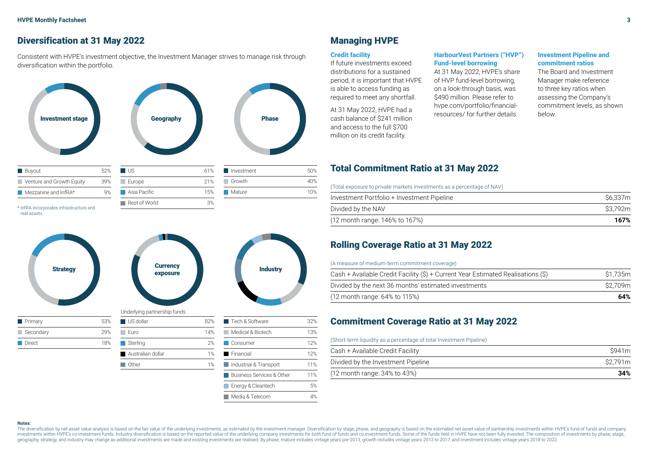## Diversification at 31 May 2022

Consistent with HVPE's investment objective, the Investment Manager strives to manage risk through diversification within the portfolio.

![](_page_2_Figure_3.jpeg)

real assets.

![](_page_2_Figure_5.jpeg)

Other 1%

## Managing HVPE

#### Credit facility

If future investments exceed distributions for a sustained period, it is important that HVPE is able to access funding as required to meet any shortfall.

At 31 May 2022, HVPE had a cash balance of \$241 million and access to the full \$700 million on its credit facility.

#### HarbourVest Partners ("HVP") Fund-level borrowing

At 31 May 2022, HVPE's share of HVP fund-level borrowing, on a look-through basis, was \$490 million. Please refer to hvpe.com/portfolio/financialresources/ for further details.

#### Investment Pipeline and commitment ratios

The Board and Investment Manager make reference to three key ratios when assessing the Company's commitment levels, as shown

## Total Commitment Ratio at 31 May 2022

(Total exposure to private markets investments as a percentage of NAV)

| Investment Portfolio + Investment Pipeline | S6.337m |
|--------------------------------------------|---------|
| Divided by the NAV                         | S3.792m |
| (12 month range: 146% to 167%)             | 167%    |

## Rolling Coverage Ratio at 31 May 2022

#### (A measure of medium-term commitment coverage)

| Cash + Available Credit Facility (\$) + Current Year Estimated Realisations (\$) | S1.735m |
|----------------------------------------------------------------------------------|---------|
| Divided by the next 36 months' estimated investments                             | S2.709m |
| (12 month range: 64% to 115%)                                                    | 64%     |

## Commitment Coverage Ratio at 31 May 2022

#### (Short-term liquidity as a percentage of total Investment Pipeline)

| Cash + Available Credit Facility   | S941m   |
|------------------------------------|---------|
| Divided by the Investment Pipeline | S2.791m |
| $(12$ month range: 34% to 43%)     | 34%     |

#### **Notes:**

The diversification by net asset value analysis is based on the fair value of the underlying investments, as estimated by the investment manager. Diversification by stage, phase, and geography is based on the estimated net investments within HVPE's co-investment funds. Industry diversification is based on the reported value of the underlying company investments for both fund of funds and co-investment funds. Some of the funds held in HVPE ha geography, strategy, and industry may change as additional investments are made and existing investments are realised. By phase, mature includes vintage years pre-2013, growth includes vintage years 2013 to 2017, and inves

Industrial & Transport 11% Business Services & Other 11% **Energy & Cleantech** 5% Media & Telecom 4%